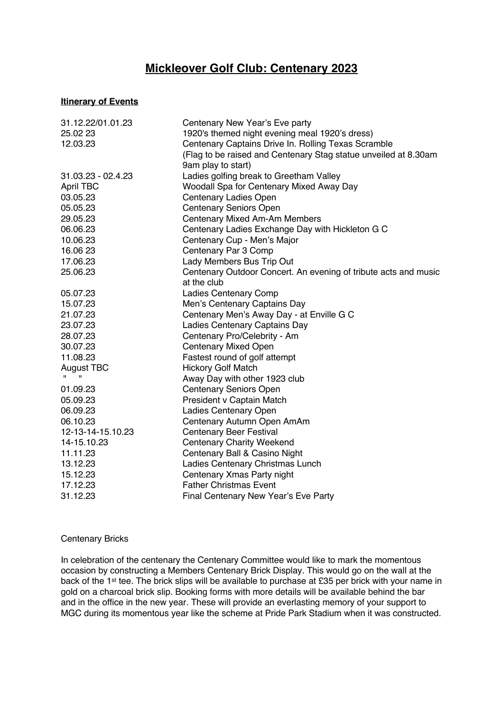## **Mickleover Golf Club: Centenary 2023**

## **Itinerary of Events**

| 31.12.22/01.01.23  | Centenary New Year's Eve party                                  |
|--------------------|-----------------------------------------------------------------|
| 25.02 23           | 1920's themed night evening meal 1920's dress)                  |
| 12.03.23           | Centenary Captains Drive In. Rolling Texas Scramble             |
|                    | (Flag to be raised and Centenary Stag statue unveiled at 8.30am |
|                    | 9am play to start)                                              |
| 31.03.23 - 02.4.23 | Ladies golfing break to Greetham Valley                         |
| <b>April TBC</b>   | Woodall Spa for Centenary Mixed Away Day                        |
| 03.05.23           | <b>Centenary Ladies Open</b>                                    |
| 05.05.23           | <b>Centenary Seniors Open</b>                                   |
| 29.05.23           | <b>Centenary Mixed Am-Am Members</b>                            |
| 06.06.23           | Centenary Ladies Exchange Day with Hickleton G C                |
| 10.06.23           | Centenary Cup - Men's Major                                     |
| 16.06 23           | Centenary Par 3 Comp                                            |
| 17.06.23           | Lady Members Bus Trip Out                                       |
| 25.06.23           | Centenary Outdoor Concert. An evening of tribute acts and music |
|                    | at the club                                                     |
| 05.07.23           | <b>Ladies Centenary Comp</b>                                    |
| 15.07.23           | Men's Centenary Captains Day                                    |
| 21.07.23           | Centenary Men's Away Day - at Enville G C                       |
| 23.07.23           | Ladies Centenary Captains Day                                   |
| 28.07.23           | Centenary Pro/Celebrity - Am                                    |
| 30.07.23           | <b>Centenary Mixed Open</b>                                     |
| 11.08.23           | Fastest round of golf attempt                                   |
| August TBC         | <b>Hickory Golf Match</b>                                       |
| $\mathbf{u}$       | Away Day with other 1923 club                                   |
| 01.09.23           | <b>Centenary Seniors Open</b>                                   |
| 05.09.23           | President v Captain Match                                       |
| 06.09.23           | Ladies Centenary Open                                           |
| 06.10.23           | Centenary Autumn Open AmAm                                      |
| 12-13-14-15.10.23  | <b>Centenary Beer Festival</b>                                  |
| 14-15.10.23        | <b>Centenary Charity Weekend</b>                                |
| 11.11.23           | Centenary Ball & Casino Night                                   |
| 13.12.23           | Ladies Centenary Christmas Lunch                                |
| 15.12.23           | Centenary Xmas Party night                                      |
| 17.12.23           | <b>Father Christmas Event</b>                                   |
| 31.12.23           | Final Centenary New Year's Eve Party                            |

## Centenary Bricks

In celebration of the centenary the Centenary Committee would like to mark the momentous occasion by constructing a Members Centenary Brick Display. This would go on the wall at the back of the 1st tee. The brick slips will be available to purchase at £35 per brick with your name in gold on a charcoal brick slip. Booking forms with more details will be available behind the bar and in the office in the new year. These will provide an everlasting memory of your support to MGC during its momentous year like the scheme at Pride Park Stadium when it was constructed.